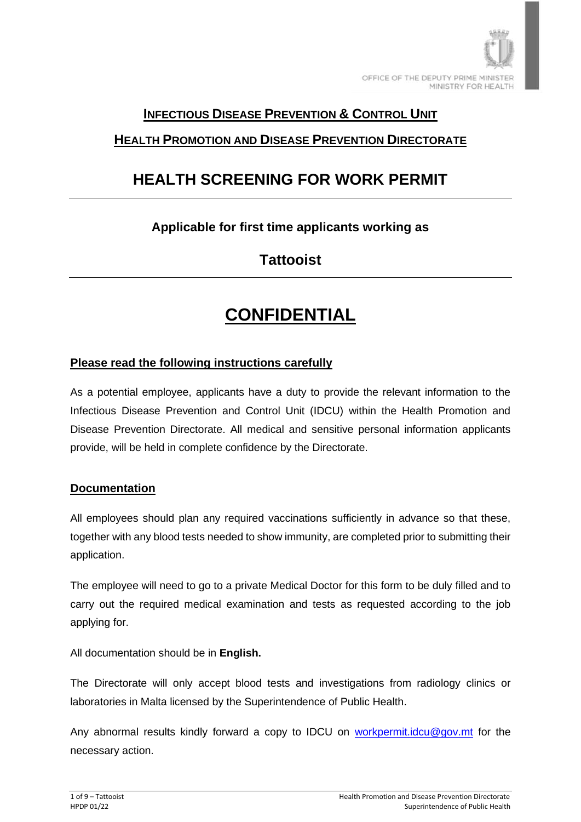

### **INFECTIOUS DISEASE PREVENTION & CONTROL UNIT**

## **HEALTH PROMOTION AND DISEASE PREVENTION DIRECTORATE**

# **HEALTH SCREENING FOR WORK PERMIT**

## **Applicable for first time applicants working as**

## **Tattooist**

# **CONFIDENTIAL**

#### **Please read the following instructions carefully**

As a potential employee, applicants have a duty to provide the relevant information to the Infectious Disease Prevention and Control Unit (IDCU) within the Health Promotion and Disease Prevention Directorate. All medical and sensitive personal information applicants provide, will be held in complete confidence by the Directorate.

#### **Documentation**

All employees should plan any required vaccinations sufficiently in advance so that these, together with any blood tests needed to show immunity, are completed prior to submitting their application.

The employee will need to go to a private Medical Doctor for this form to be duly filled and to carry out the required medical examination and tests as requested according to the job applying for.

All documentation should be in **English.**

The Directorate will only accept blood tests and investigations from radiology clinics or laboratories in Malta licensed by the Superintendence of Public Health.

Any abnormal results kindly forward a copy to IDCU on [workpermit.idcu@gov.mt](mailto:workpermit.idcu@gov.mt) for the necessary action.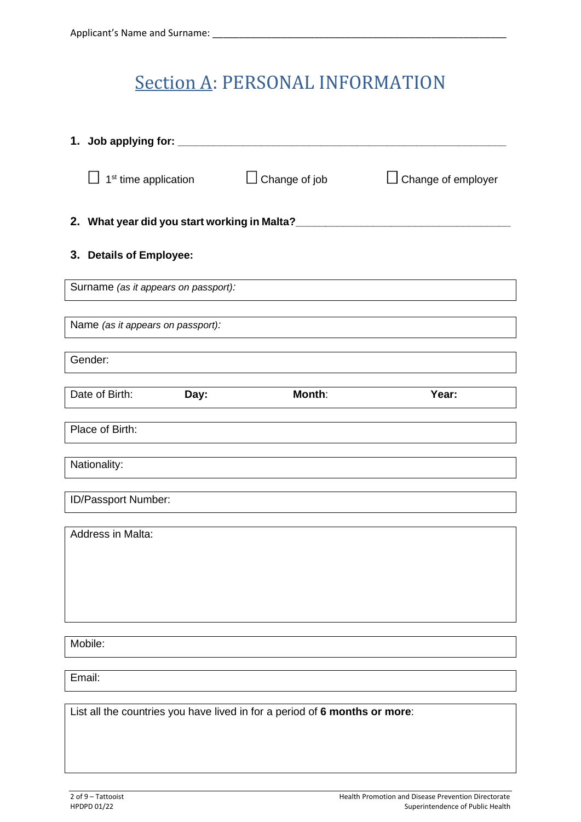# Section A: PERSONAL INFORMATION

| 1. Job applying for: _______                                               |                                              |                      |                    |  |  |
|----------------------------------------------------------------------------|----------------------------------------------|----------------------|--------------------|--|--|
|                                                                            | 1 <sup>st</sup> time application             | $\Box$ Change of job | Change of employer |  |  |
|                                                                            | 2. What year did you start working in Malta? |                      |                    |  |  |
|                                                                            | 3. Details of Employee:                      |                      |                    |  |  |
| Surname (as it appears on passport):                                       |                                              |                      |                    |  |  |
|                                                                            | Name (as it appears on passport):            |                      |                    |  |  |
|                                                                            | Gender:                                      |                      |                    |  |  |
|                                                                            | Date of Birth:<br>Day:                       | Month:               | Year:              |  |  |
|                                                                            | Place of Birth:                              |                      |                    |  |  |
|                                                                            | Nationality:                                 |                      |                    |  |  |
|                                                                            | ID/Passport Number:                          |                      |                    |  |  |
|                                                                            |                                              |                      |                    |  |  |
| Address in Malta:                                                          |                                              |                      |                    |  |  |
|                                                                            |                                              |                      |                    |  |  |
|                                                                            |                                              |                      |                    |  |  |
| Mobile:                                                                    |                                              |                      |                    |  |  |
| Email:                                                                     |                                              |                      |                    |  |  |
| List all the countries you have lived in for a period of 6 months or more: |                                              |                      |                    |  |  |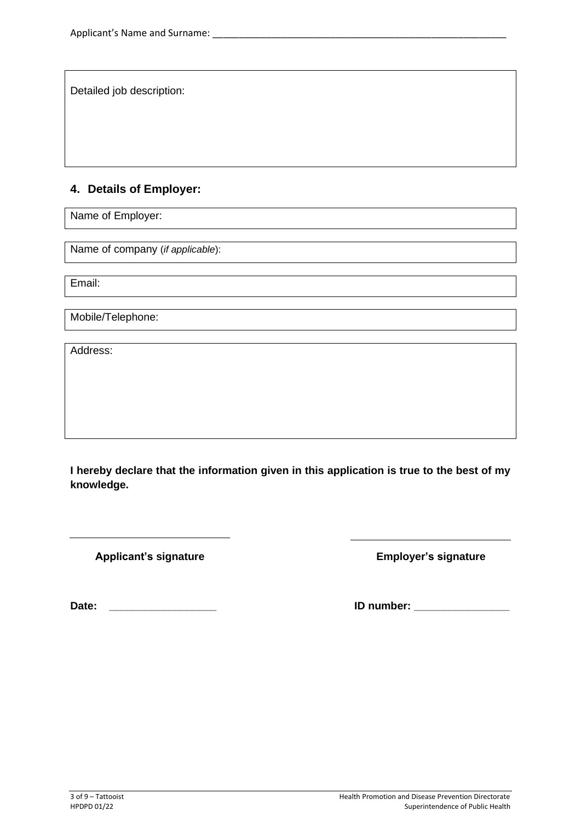Detailed job description:

### **4. Details of Employer:**

Name of Employer:

Name of company (*if applicable*):

Email:

Mobile/Telephone:

Address:

**I hereby declare that the information given in this application is true to the best of my knowledge.**

Applicant's signature **Applicant's signature** Employer's signature

**Date: \_\_\_\_\_\_\_\_\_\_\_\_\_\_\_\_\_\_ ID number: \_\_\_\_\_\_\_\_\_\_\_\_\_\_\_\_**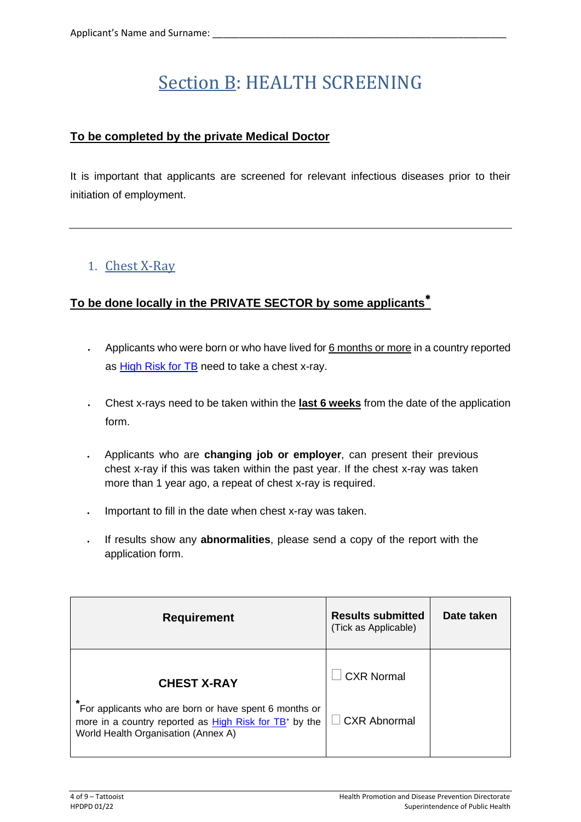# Section B: HEALTH SCREENING

### **To be completed by the private Medical Doctor**

It is important that applicants are screened for relevant infectious diseases prior to their initiation of employment.

## 1. Chest X-Ray

### **To be done locally in the PRIVATE SECTOR by some applicants**

- Applicants who were born or who have lived for 6 months or more in a country reported as [High Risk for TB](https://deputyprimeminister.gov.mt/en/health-promotion/idpcu/Documents/HIGH%20RISK%20TUBERCULOSIS%20COUNTRY%20LIST.pdf) need to take a chest x-ray.
- Chest x-rays need to be taken within the **last 6 weeks** from the date of the application form.
- Applicants who are **changing job or employer**, can present their previous chest x-ray if this was taken within the past year. If the chest x-ray was taken more than 1 year ago, a repeat of chest x-ray is required.
- Important to fill in the date when chest x-ray was taken.
- If results show any **abnormalities**, please send a copy of the report with the application form.

| <b>Requirement</b>                                                                                                                                        | <b>Results submitted</b><br>(Tick as Applicable) | Date taken |
|-----------------------------------------------------------------------------------------------------------------------------------------------------------|--------------------------------------------------|------------|
| <b>CHEST X-RAY</b>                                                                                                                                        | <b>CXR Normal</b>                                |            |
| For applicants who are born or have spent 6 months or<br>more in a country reported as $High Risk for TB^*$ by the<br>World Health Organisation (Annex A) | $\Box$ CXR Abnormal                              |            |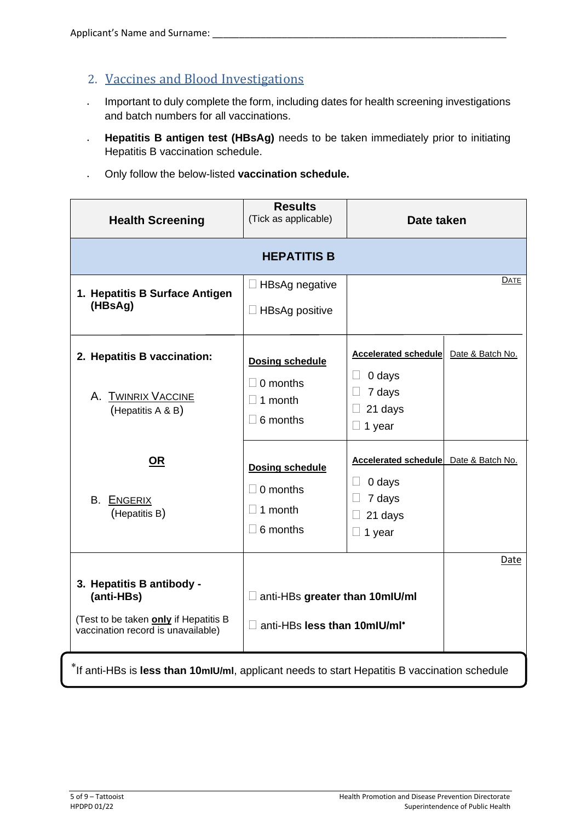## 2. Vaccines and Blood Investigations

- Important to duly complete the form, including dates for health screening investigations and batch numbers for all vaccinations.
- **Hepatitis B antigen test (HBsAg)** needs to be taken immediately prior to initiating Hepatitis B vaccination schedule.
- Only follow the below-listed **vaccination schedule.**

| <b>Health Screening</b>                                                                                                | <b>Results</b><br>(Tick as applicable)                                         | Date taken                                                                                  |                  |
|------------------------------------------------------------------------------------------------------------------------|--------------------------------------------------------------------------------|---------------------------------------------------------------------------------------------|------------------|
| <b>HEPATITIS B</b>                                                                                                     |                                                                                |                                                                                             |                  |
| 1. Hepatitis B Surface Antigen<br>(HBsAg)                                                                              | $\Box$ HBsAg negative<br>$\Box$ HBsAg positive                                 |                                                                                             | <b>DATE</b>      |
| 2. Hepatitis B vaccination:<br>A. TWINRIX VACCINE<br>(Hepatitis A & B)                                                 | <b>Dosing schedule</b><br>$\Box$ 0 months<br>$\Box$ 1 month<br>$\Box$ 6 months | Accelerated schedule<br>0 days<br>$\Box$<br>7 days<br>$\Box$<br>21 days<br>$\Box$<br>1 year | Date & Batch No. |
| <u>OR</u><br><b>B. ENGERIX</b><br>(Hepatitis B)                                                                        | <b>Dosing schedule</b><br>$\Box$ 0 months<br>$\Box$ 1 month<br>$\Box$ 6 months | Accelerated schedule<br>0 days<br>$\Box$<br>7 days<br>П<br>21 days<br>1 year                | Date & Batch No. |
| 3. Hepatitis B antibody -<br>(anti-HBs)<br>(Test to be taken only if Hepatitis B<br>vaccination record is unavailable) | anti-HBs greater than 10mlU/ml<br>$\Box$ anti-HBs less than 10mlU/ml*          |                                                                                             | Date             |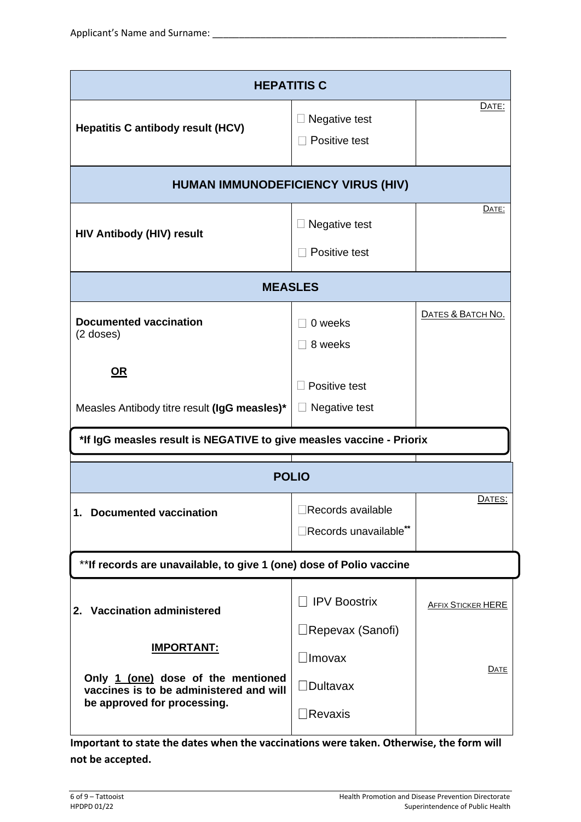| <b>HEPATITIS C</b>                                                                                                                |                                                 |                           |  |
|-----------------------------------------------------------------------------------------------------------------------------------|-------------------------------------------------|---------------------------|--|
| <b>Hepatitis C antibody result (HCV)</b>                                                                                          | Negative test<br>Positive test                  | DATE:                     |  |
| <b>HUMAN IMMUNODEFICIENCY VIRUS (HIV)</b>                                                                                         |                                                 |                           |  |
| <b>HIV Antibody (HIV) result</b>                                                                                                  | Negative test<br>Positive test                  | DATE:                     |  |
| <b>MEASLES</b>                                                                                                                    |                                                 |                           |  |
| <b>Documented vaccination</b><br>$(2$ doses)                                                                                      | 0 weeks<br>8 weeks                              | DATES & BATCH NO.         |  |
| <u>OR</u><br>Measles Antibody titre result (IgG measles)*                                                                         | Positive test<br>Negative test                  |                           |  |
| *If IgG measles result is NEGATIVE to give measles vaccine - Priorix                                                              |                                                 |                           |  |
|                                                                                                                                   | <b>POLIO</b>                                    |                           |  |
| 1. Documented vaccination                                                                                                         | Records available<br>Records unavailable**      | DATES:                    |  |
| ** If records are unavailable, to give 1 (one) dose of Polio vaccine                                                              |                                                 |                           |  |
| 2. Vaccination administered                                                                                                       | <b>IPV Boostrix</b><br>$\Box$ Repevax (Sanofi)  | <b>AFFIX STICKER HERE</b> |  |
| <b>IMPORTANT:</b><br>Only 1 (one) dose of the mentioned<br>vaccines is to be administered and will<br>be approved for processing. | ∃Imovax<br>$\Box$ Dultavax<br>$\exists$ Revaxis | DATE                      |  |
|                                                                                                                                   |                                                 |                           |  |

**Important to state the dates when the vaccinations were taken. Otherwise, the form will not be accepted.**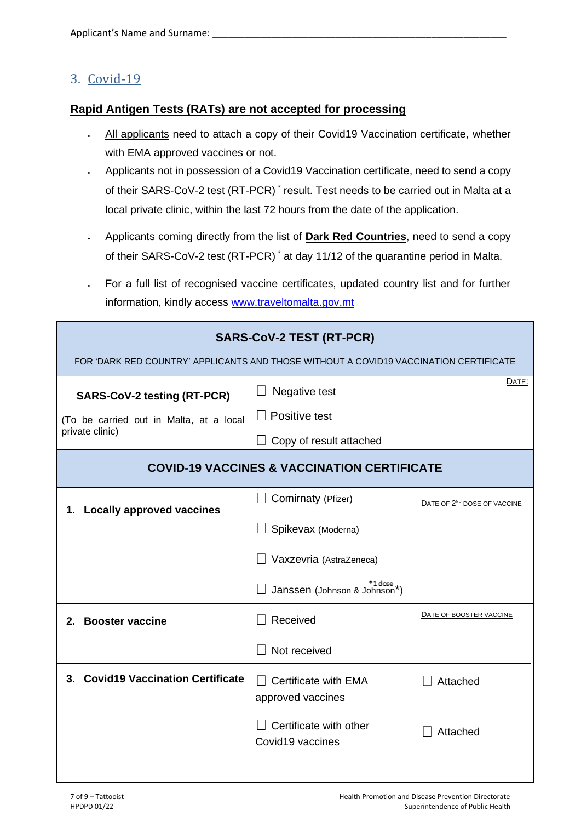## 3. Covid-19

#### **Rapid Antigen Tests (RATs) are not accepted for processing**

- All applicants need to attach a copy of their Covid19 Vaccination certificate, whether with EMA approved vaccines or not.
- Applicants not in possession of a Covid19 Vaccination certificate, need to send a copy of their SARS-CoV-2 test (RT-PCR)<sup>\*</sup> result. Test needs to be carried out in Malta at a local private clinic, within the last 72 hours from the date of the application.
- Applicants coming directly from the list of **Dark Red Countries**, need to send a copy of their SARS-CoV-2 test (RT-PCR) \* at day 11/12 of the quarantine period in Malta.
- For a full list of recognised vaccine certificates, updated country list and for further information, kindly access [www.traveltomalta.gov.mt](http://www.traveltomalta.gov.mt/)

| <b>SARS-CoV-2 TEST (RT-PCR)</b><br>FOR 'DARK RED COUNTRY' APPLICANTS AND THOSE WITHOUT A COVID19 VACCINATION CERTIFICATE |                                                                 |                                         |  |
|--------------------------------------------------------------------------------------------------------------------------|-----------------------------------------------------------------|-----------------------------------------|--|
| <b>SARS-CoV-2 testing (RT-PCR)</b><br>(To be carried out in Malta, at a local<br>private clinic)                         | Negative test<br>Positive test<br>Copy of result attached       | DATE:                                   |  |
| <b>COVID-19 VACCINES &amp; VACCINATION CERTIFICATE</b>                                                                   |                                                                 |                                         |  |
| <b>Locally approved vaccines</b><br>1.                                                                                   | Comirnaty (Pfizer)                                              | DATE OF 2 <sup>ND</sup> DOSE OF VACCINE |  |
|                                                                                                                          | Spikevax (Moderna)                                              |                                         |  |
|                                                                                                                          | Vaxzevria (AstraZeneca)                                         |                                         |  |
|                                                                                                                          | <sup>+1 dose</sup><br>Janssen (Johnson & Johnson*)              |                                         |  |
| 2. Booster vaccine                                                                                                       | Received                                                        | DATE OF BOOSTER VACCINE                 |  |
|                                                                                                                          | Not received                                                    |                                         |  |
| 3. Covid19 Vaccination Certificate                                                                                       | Certificate with EMA                                            | Attached                                |  |
|                                                                                                                          | approved vaccines<br>Certificate with other<br>Covid19 vaccines | Attached                                |  |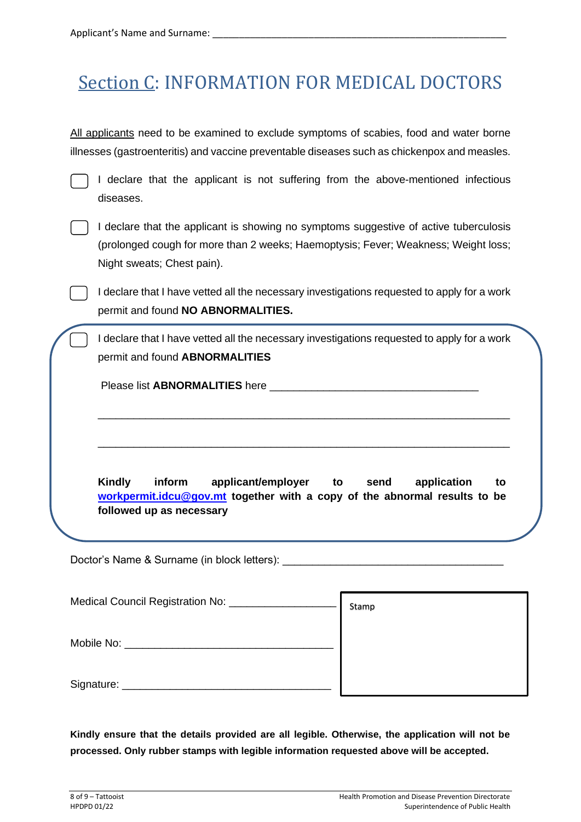# Section C: INFORMATION FOR MEDICAL DOCTORS

All applicants need to be examined to exclude symptoms of scabies, food and water borne illnesses (gastroenteritis) and vaccine preventable diseases such as chickenpox and measles.

I declare that the applicant is not suffering from the above-mentioned infectious diseases.

I declare that the applicant is showing no symptoms suggestive of active tuberculosis (prolonged cough for more than 2 weeks; Haemoptysis; Fever; Weakness; Weight loss; Night sweats; Chest pain).

I declare that I have vetted all the necessary investigations requested to apply for a work permit and found **NO ABNORMALITIES.**

I declare that I have vetted all the necessary investigations requested to apply for a work permit and found **ABNORMALITIES**

\_\_\_\_\_\_\_\_\_\_\_\_\_\_\_\_\_\_\_\_\_\_\_\_\_\_\_\_\_\_\_\_\_\_\_\_\_\_\_\_\_\_\_\_\_\_\_\_\_\_\_\_\_\_\_\_\_\_\_\_\_\_\_\_\_\_\_\_\_

\_\_\_\_\_\_\_\_\_\_\_\_\_\_\_\_\_\_\_\_\_\_\_\_\_\_\_\_\_\_\_\_\_\_\_\_\_\_\_\_\_\_\_\_\_\_\_\_\_\_\_\_\_\_\_\_\_\_\_\_\_\_\_\_\_\_\_\_\_

Please list **ABNORMALITIES** here

**Kindly inform applicant/employer to send application to [workpermit.idcu@gov.mt](mailto:workpermit.idcu@gov.mt) together with a copy of the abnormal results to be followed up as necessary**

Doctor's Name & Surname (in block letters):

| Medical Council Registration No: | Stamp |
|----------------------------------|-------|
| Mobile No:                       |       |
| Signature:                       |       |

**Kindly ensure that the details provided are all legible. Otherwise, the application will not be processed. Only rubber stamps with legible information requested above will be accepted.**